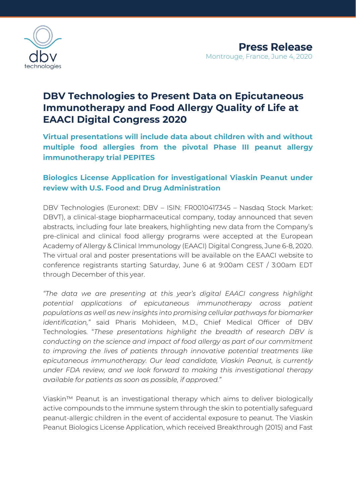

# **DBV Technologies to Present Data on Epicutaneous Immunotherapy and Food Allergy Quality of Life at EAACI Digital Congress 2020**

**Virtual presentations will include data about children with and without multiple food allergies from the pivotal Phase III peanut allergy immunotherapy trial PEPITES**

# **Biologics License Application for investigational Viaskin Peanut under review with U.S. Food and Drug Administration**

DBV Technologies (Euronext: DBV – ISIN: FR0010417345 – Nasdaq Stock Market: DBVT), a clinical-stage biopharmaceutical company, today announced that seven abstracts, including four late breakers, highlighting new data from the Company's pre-clinical and clinical food allergy programs were accepted at the European Academy of Allergy & Clinical Immunology (EAACI) Digital Congress, June 6-8, 2020. The virtual oral and poster presentations will be available on the EAACI website to conference registrants starting Saturday, June 6 at 9:00am CEST / 3:00am EDT through December of this year.

*"The data we are presenting at this year's digital EAACI congress highlight potential applications of epicutaneous immunotherapy across patient populations as well as new insights into promising cellular pathways for biomarker identification,"* said Pharis Mohideen, M.D., Chief Medical Officer of DBV Technologies. "*These presentations highlight the breadth of research DBV is conducting on the science and impact of food allergy as part of our commitment to improving the lives of patients through innovative potential treatments like epicutaneous immunotherapy. Our lead candidate, Viaskin Peanut, is currently under FDA review, and we look forward to making this investigational therapy available for patients as soon as possible, if approved."*

Viaskin™ Peanut is an investigational therapy which aims to deliver biologically active compounds to the immune system through the skin to potentially safeguard peanut-allergic children in the event of accidental exposure to peanut. The Viaskin Peanut Biologics License Application, which received Breakthrough (2015) and Fast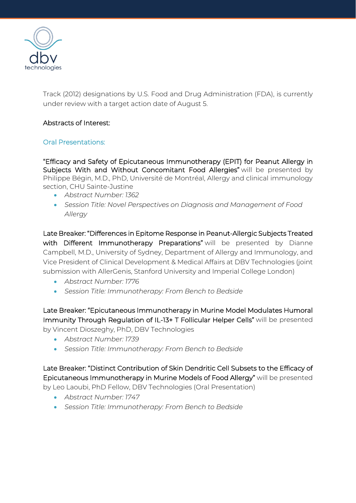

Track (2012) designations by U.S. Food and Drug Administration (FDA), is currently under review with a target action date of August 5.

# Abstracts of Interest:

# Oral Presentations:

"Efficacy and Safety of Epicutaneous Immunotherapy (EPIT) for Peanut Allergy in Subjects With and Without Concomitant Food Allergies" will be presented by Philippe Bégin, M.D., PhD, Université de Montréal, Allergy and clinical immunology section, CHU Sainte-Justine

- *Abstract Number: 1362*
- *Session Title: Novel Perspectives on Diagnosis and Management of Food Allergy*

Late Breaker: "Differences in Epitome Response in Peanut-Allergic Subjects Treated with Different Immunotherapy Preparations" will be presented by Dianne Campbell, M.D., University of Sydney, Department of Allergy and Immunology, and Vice President of Clinical Development & Medical Affairs at DBV Technologies (joint submission with AllerGenis, Stanford University and Imperial College London)

- *Abstract Number: 1776*
- *Session Title: Immunotherapy: From Bench to Bedside*

Late Breaker: "Epicutaneous Immunotherapy in Murine Model Modulates Humoral Immunity Through Regulation of IL-13+ T Follicular Helper Cells" will be presented by Vincent Dioszeghy, PhD, DBV Technologies

- *Abstract Number: 1739*
- *Session Title: Immunotherapy: From Bench to Bedside*

Late Breaker: "Distinct Contribution of Skin Dendritic Cell Subsets to the Efficacy of Epicutaneous Immunotherapy in Murine Models of Food Allergy" will be presented by Leo Laoubi, PhD Fellow, DBV Technologies (Oral Presentation)

- *Abstract Number: 1747*
- *Session Title: Immunotherapy: From Bench to Bedside*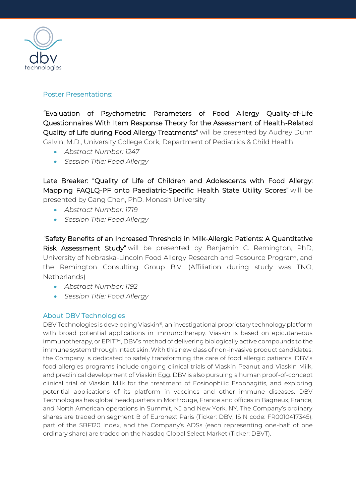

# Poster Presentations:

*"*Evaluation of Psychometric Parameters of Food Allergy Quality-of-Life Questionnaires With Item Response Theory for the Assessment of Health-Related Quality of Life during Food Allergy Treatments" will be presented by Audrey Dunn Galvin, M.D., University College Cork, Department of Pediatrics & Child Health

- *Abstract Number: 1247*
- *Session Title: Food Allergy*

Late Breaker: "Quality of Life of Children and Adolescents with Food Allergy: Mapping FAQLQ-PF onto Paediatric-Specific Health State Utility Scores" will be presented by Gang Chen, PhD, Monash University

- *Abstract Number: 1719*
- *Session Title: Food Allergy*

*"*Safety Benefits of an Increased Threshold in Milk-Allergic Patients: A Quantitative Risk Assessment Study" will be presented by Benjamin C. Remington, PhD, University of Nebraska-Lincoln Food Allergy Research and Resource Program, and the Remington Consulting Group B.V. (Affiliation during study was TNO, Netherlands)

- *Abstract Number: 1192*
- *Session Title: Food Allergy*

#### About DBV Technologies

DBV Technologies is developing Viaskin®, an investigational proprietary technology platform with broad potential applications in immunotherapy. Viaskin is based on epicutaneous immunotherapy, or EPIT™, DBV's method of delivering biologically active compounds to the immune system through intact skin. With this new class of non-invasive product candidates, the Company is dedicated to safely transforming the care of food allergic patients. DBV's food allergies programs include ongoing clinical trials of Viaskin Peanut and Viaskin Milk, and preclinical development of Viaskin Egg. DBV is also pursuing a human proof-of-concept clinical trial of Viaskin Milk for the treatment of Eosinophilic Esophagitis, and exploring potential applications of its platform in vaccines and other immune diseases. DBV Technologies has global headquarters in Montrouge, France and offices in Bagneux, France, and North American operations in Summit, NJ and New York, NY. The Company's ordinary shares are traded on segment B of Euronext Paris (Ticker: DBV, ISIN code: FR0010417345), part of the SBF120 index, and the Company's ADSs (each representing one-half of one ordinary share) are traded on the Nasdaq Global Select Market (Ticker: DBVT).